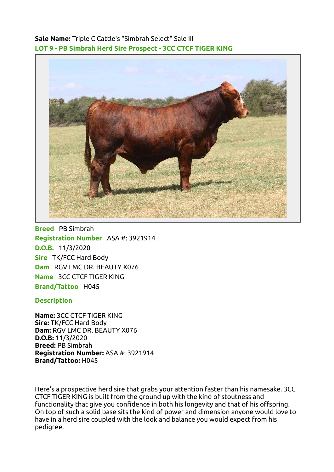Sale Name: Triple C Cattle's "Simbrah Select" Sale III LOT 9 - PB Simbrah Herd Sire Prospect - 3CC CTCF TIGER KING



Breed PB Simbrah Registration Number ASA #: 3921914 D.O.B. 11/3/2020 Sire TK/FCC Hard Body Dam RGV LMC DR. BEAUTY X076 Name 3CC CTCF TIGER KING Brand/Tattoo H045

## **Description**

Name: 3CC CTCF TIGER KING Sire: TK/FCC Hard Body Dam: RGV LMC DR. BEAUTY X076 D.O.B: 11/3/2020 Breed: PB Simbrah Registration Number: ASA #: 3921914 Brand/Tattoo: H045

Here's a prospective herd sire that grabs your attention faster than his namesake. 3CC CTCF TIGER KING is built from the ground up with the kind of stoutness and functionality that give you confidence in both his longevity and that of his offspring. On top of such a solid base sits the kind of power and dimension anyone would love to have in a herd sire coupled with the look and balance you would expect from his pedigree.